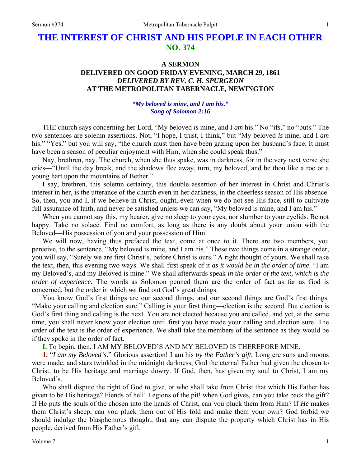# **THE INTEREST OF CHRIST AND HIS PEOPLE IN EACH OTHER NO. 374**

## **A SERMON**

## **DELIVERED ON GOOD FRIDAY EVENING, MARCH 29, 1861**  *DELIVERED BY REV. C. H. SPURGEON*  **AT THE METROPOLITAN TABERNACLE, NEWINGTON**

## *"My beloved is mine, and I am his." Song of Solomon 2:16*

THE church says concerning her Lord, "My beloved *is* mine, and I *am* his." No "ifs," no "buts." The two sentences are solemn assertions. Not, "I hope, I trust, I think," but "My beloved *is* mine, and I *am* his." "Yes," but you will say, "the church must then have been gazing upon her husband's face. It must have been a season of peculiar enjoyment with Him, when she could speak thus."

Nay, brethren, nay. The church, when she thus spake, was in darkness, for in the very next verse she cries—"Until the day break, and the shadows flee away, turn, my beloved, and be thou like a roe or a young hart upon the mountains of Bether."

I say, brethren, this solemn certainty, this double assertion of her interest in Christ and Christ's interest in her, is the utterance of the church even in her darkness, in the cheerless season of His absence. So, then, you and I, if we believe in Christ, ought, even when we do not see His face, still to cultivate full assurance of faith, and never be satisfied unless we can say, "My beloved is mine, and I am his."

When you cannot say this, my hearer, give no sleep to your eyes, nor slumber to your eyelids. Be not happy. Take no solace. Find no comfort, as long as there is any doubt about your union with the Beloved—His possession of you and your possession of Him.

We will now, having thus prefaced the text, come at once to it. There are two members, you perceive, to the sentence, "My beloved is mine, and I am his." These two things come in a strange order, you will say, "Surely we are first Christ's, before Christ is ours." A right thought of yours. We shall take the text, then, this evening two ways. We shall first speak of it *as it would be in the order of time*. "I am my Beloved's, and my Beloved is mine." We shall afterwards speak *in the order of the text, which is the order of experience*. The words as Solomon penned them are the order of fact as far as God is concerned, but the order in which *we* find out God's great doings.

You know God's first things are our second things, and our second things are God's first things. "Make your calling and election sure." Calling is your first thing—election is the second. But election is God's first thing and calling is the next. You are not elected because you are called, and yet, at the same time, you shall never know your election until first you have made your calling and election sure. The order of the text is the order of experience. We shall take the members of the sentence as they would be if they spoke in the order of fact.

**I.** To begin, then. I AM MY BELOVED'S AND MY BELOVED IS THEREFORE MINE.

**1.** "*I am my Beloved's*." Glorious assertion! I am his *by the Father's gift.* Long ere suns and moons were made, and stars twinkled in the midnight darkness, God the eternal Father had given the chosen to Christ, to be His heritage and marriage dowry. If God, then, has given my soul to Christ, I am my Beloved's.

Who shall dispute the right of God to give, or who shall take from Christ that which His Father has given to be His heritage? Fiends of hell! Legions of the pit! when God gives, can you take back the gift? If He puts the souls of the chosen into the hands of Christ, can you pluck them from Him? If *He* makes them Christ's sheep, can you pluck them out of His fold and make them your own? God forbid we should indulge the blasphemous thought, that any can dispute the property which Christ has in His people, derived from His Father's gift.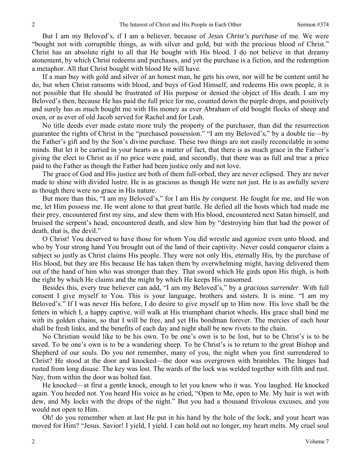But I am my Beloved's, if I am a believer, because of *Jesus Christ's purchase* of me. We were "bought not with corruptible things, as with silver and gold, but with the precious blood of Christ." Christ has an absolute right to all that He bought with His blood. I do not believe in that dreamy atonement, by which Christ redeems and purchases, and yet the purchase is a fiction, and the redemption a metaphor. All that Christ bought with blood He will have.

If a man buy with gold and silver of an honest man, he gets his own, nor will he be content until he do, but when Christ ransoms with blood, and buys of God Himself, and redeems His own people, it is not possible that He should be frustrated of His purpose or denied the object of His death. I am my Beloved's then, because He has paid the full price for me, counted down the purple drops, and positively and surely has as much bought me with His money as ever Abraham of old bought flocks of sheep and oxen, or as ever of old Jacob served for Rachel and for Leah.

No title deeds ever made estate more truly the property of the purchaser, than did the resurrection guarantee the rights of Christ in the "purchased possession." "I am my Beloved's," by a double tie—by the Father's gift and by the Son's divine purchase. These two things are not easily reconcilable in some minds. But let it be carried in your hearts as a matter of fact, that there is as much grace in the Father's giving the elect to Christ as if no price were paid, and secondly, that there was as full and true a price paid to the Father as though the Father had been justice only and not love.

The grace of God and His justice are both of them full-orbed, they are never eclipsed. They are never made to shine with divided lustre. He is as gracious as though He were not just. He is as awfully severe as though there were no grace in His nature.

But more than this, "I am my Beloved's," for I am His *by conquest*. He fought for me, and He won me, let Him possess me. He went alone to that great battle. He defied all the hosts which had made me their prey, encountered first my sins, and slew them with His blood, encountered next Satan himself, and bruised the serpent's head, encountered death, and slew him by "destroying him that had the power of death, that is, the devil."

O Christ! You deserved to have those for whom You did wrestle and agonize even unto blood, and who by Your strong hand You brought out of the land of their captivity. Never could conqueror claim a subject so justly as Christ claims His people. They were not only His, eternally His, by the purchase of His blood, but they are His because He has taken them by overwhelming might, having delivered them out of the hand of him who was stronger than they. That sword which He girds upon His thigh, is both the right by which He claims and the might by which He keeps His ransomed.

Besides this, every true believer can add, "I am my Beloved's," by a *gracious surrender*. With full consent I give myself to You. This is your language, brothers and sisters. It is mine. "I am my Beloved's." If I was never His before, I do desire to give myself up to Him now. His love shall be the fetters in which I, a happy captive, will walk at His triumphant chariot wheels. His grace shall bind me with its golden chains, so that I will be free, and yet His bondman forever. The mercies of each hour shall be fresh links, and the benefits of each day and night shall be new rivets to the chain.

No Christian would like to be his own. To be one's own is to be lost, but to be Christ's is to be saved. To be one's own is to be a wandering sheep. To be Christ's is to return to the great Bishop and Shepherd of our souls. Do you not remember, many of you, the night when you first surrendered to Christ? He stood at the door and knocked—the door was overgrown with brambles. The hinges had rusted from long disuse. The key was lost. The wards of the lock was welded together with filth and rust. Nay, from within the door was bolted fast.

He knocked—at first a gentle knock, enough to let you know who it was. You laughed. He knocked again. You heeded not. You heard His voice as he cried, "Open to Me, open to Me. My hair is wet with dew, and My locks with the drops of the night." But you had a thousand frivolous excuses, and you would not open to Him.

Oh! do you remember when at last He put in his hand by the hole of the lock, and your heart was moved for Him? "Jesus. Savior! I yield, I yield. I can hold out no longer, my heart melts. My cruel soul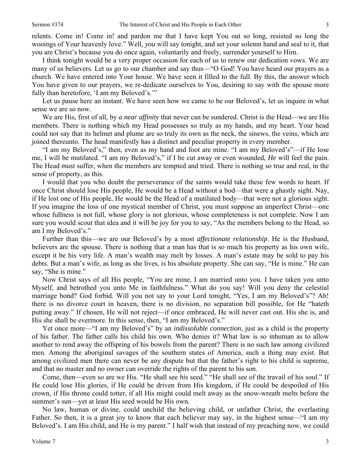3

relents. Come in! Come in! and pardon me that I have kept You out so long, resisted so long the wooings of Your heavenly love." Well, *you* will say tonight, and set your solemn hand and seal to it, that you are Christ's because you do once again, voluntarily and freely, surrender yourself to Him.

I think tonight would be a very proper occasion for each of us to renew our dedication vows. We are many of us believers. Let us go to our chamber and say thus—"O God! You have heard our prayers as a church. We have entered into Your house. We have seen it filled to the full. By this, the answer which You have given to our prayers, we re-dedicate ourselves to You, desiring to say with the spouse more fully than heretofore, 'I am my Beloved's.'"

Let us pause here an instant. We have seen how we came to be our Beloved's, let us inquire in what sense we are so now.

We are His, first of all, by *a near affinity* that never can be sundered. Christ is the Head—we are His members. There is nothing which my Head possesses so truly as my hands, and my heart. Your head could not say that its helmet and plume are so truly its own as the neck, the sinews, the veins, which are joined thereunto. The head manifestly has a distinct and peculiar property in every member.

"I am my Beloved's," then, even as my hand and foot are mine. "I am my Beloved's"—if He lose me, I will be mutilated. "I am my Beloved's," if I be cut away or even wounded, *He* will feel the pain. The Head *must* suffer, when the members are tempted and tried. There is nothing so true and real, in the sense of property, as this.

I would that you who doubt the perseverance of the saints would take these few words to heart. If once Christ should lose His people, He would be a Head without a bod—that were a ghastly sight. Nay, if He lost one of His people, He would be the Head of a mutilated body—that were not a glorious sight. If you imagine the loss of one mystical member of Christ, you must suppose an imperfect Christ—one whose fullness is not full, whose glory is not glorious, whose completeness is not complete. Now I am sure you would scout that idea and it will be joy for you to say, "As the members belong to the Head, so am I my Beloved's."

Further than this—we are our Beloved's by a most *affectionate relationship*. He is the Husband, believers are the spouse. There is nothing that a man has that is so much his property as his own wife, except it be his very life. A man's wealth may melt by losses. A man's estate may be sold to pay his debts. But a man's wife, as long as she lives, is his absolute property. She can say, "He is mine." He can say, "She is mine."

Now Christ says of all His people, "You are mine, I am married unto you. I have taken you unto Myself, and betrothed you unto Me in faithfulness." What do you say! Will you deny the celestial marriage bond? God forbid. Will you not say to your Lord tonight, "Yes, I am my Beloved's"? Ah! there is no divorce court in heaven, there is no division, no separation bill possible, for He "hateth putting away." If chosen, He will not reject—if once embraced, He will never cast out. His she is, and His she shall be evermore. In this sense, then, "I am my Beloved's."

Yet once more—"I am my Beloved's" by an *indissoluble connection*, just as a child is the property of his father. The father calls his child his own. Who denies it? What law is so inhuman as to allow another to rend away the offspring of his bowels from the parent? There is no such law among civilized men. Among the aboriginal savages of the southern states of America, such a thing may exist. But among civilized men there can never be any dispute but that the father's right to his child is supreme, and that no master and no owner can override the rights of the parent to his son.

Come, then—even so are we His. "He shall see *his* seed." "He shall see of the travail of his soul." If He could lose His glories, if He could be driven from His kingdom, if He could be despoiled of His crown, if His throne could totter, if all His might could melt away as the snow-wreath melts before the summer's sun—yet at least His seed would be His own.

No law, human or divine, could unchild the believing child, or unfather Christ, the everlasting Father. So then, it is a great joy to know that each believer may say, in the highest sense—"I am my Beloved's. I am His child, and He is my parent." I half wish that instead of my preaching now, we could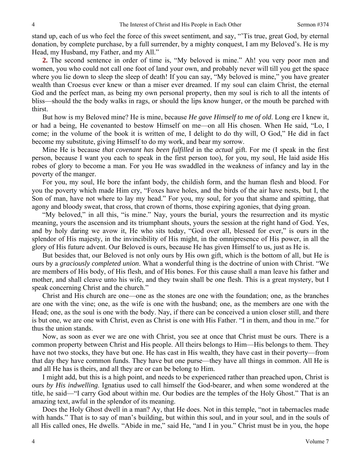stand up, each of us who feel the force of this sweet sentiment, and say, "'Tis true, great God, by eternal donation, by complete purchase, by a full surrender, by a mighty conquest, I am my Beloved's. He is my Head, my Husband, my Father, and my All."

**2.** The second sentence in order of time is, "My beloved is mine." Ah! you very poor men and women, you who could not call one foot of land your own, and probably never will till you get the space where you lie down to sleep the sleep of death! If you can say, "My beloved is mine," you have greater wealth than Croesus ever knew or than a miser ever dreamed. If my soul can claim Christ, the eternal God and the perfect man, as being my own personal property, then my soul is rich to all the intents of bliss—should the the body walks in rags, or should the lips know hunger, or the mouth be parched with thirst.

But how is my Beloved mine? He is mine, because *He gave Himself to me of old*. Long ere I knew it, or had a being, He covenanted to bestow Himself on me—on all His chosen. When He said, "Lo, I come; in the volume of the book it is written of me, I delight to do thy will, O God," He did in fact become my substitute, giving Himself to do my work, and bear my sorrow.

Mine He is because *that covenant has been fulfilled* in the *actual* gift. For me (I speak in the first person, because I want you each to speak in the first person too), for you, my soul, He laid aside His robes of glory to become a man. For you He was swaddled in the weakness of infancy and lay in the poverty of the manger.

For you, my soul, He bore the infant body, the childish form, and the human flesh and blood. For you the poverty which made Him cry, "Foxes have holes, and the birds of the air have nests, but I, the Son of man, have not where to lay my head." For you, my soul, for you that shame and spitting, that agony and bloody sweat, that cross, that crown of thorns, those expiring agonies, that dying groan.

"My beloved," in all this, "is mine." Nay, yours the burial, yours the resurrection and its mystic meaning, yours the ascension and its triumphant shouts, yours the session at the right hand of God. Yes, and by holy daring we avow it, He who sits today, "God over all, blessed for ever," is ours in the splendor of His majesty, in the invincibility of His might, in the omnipresence of His power, in all the glory of His future advent. Our Beloved is ours, because He has given Himself to us, just as He is.

But besides that, our Beloved is not only ours by His own gift, which is the bottom of all, but He is ours by a *graciously completed union*. What a wonderful thing is the doctrine of union with Christ. "We are members of His body, of His flesh, and of His bones. For this cause shall a man leave his father and mother, and shall cleave unto his wife, and they twain shall be one flesh. This is a great mystery, but I speak concerning Christ and the church."

Christ and His church are one—one as the stones are one with the foundation; one, as the branches are one with the vine; one, as the wife is one with the husband; one, as the members are one with the Head; one, as the soul is one with the body. Nay, if there can be conceived a union closer still, and there is but one, we are one with Christ, even as Christ is one with His Father. "I in them, and thou in me." for thus the union stands.

Now, as soon as ever we are one with Christ, you see at once that Christ must be ours. There is a common property between Christ and His people. All theirs belongs to Him—His belongs to them. They have not two stocks, they have but one. He has cast in His wealth, they have cast in their poverty—from that day they have common funds. They have but one purse—they have all things in common. All He is and all He has is theirs, and all they are or can be belong to Him.

I might add, but this is a high point, and needs to be experienced rather than preached upon, Christ is ours *by His indwelling*. Ignatius used to call himself the God-bearer, and when some wondered at the title, he said—"I carry God about within me. Our bodies are the temples of the Holy Ghost." That is an amazing text, awful in the splendor of its meaning.

Does the Holy Ghost dwell in a man? Ay, that He does. Not in this temple, "not in tabernacles made with hands." That is to say of man's building, but within this soul, and in your soul, and in the souls of all His called ones, He dwells. "Abide in me," said He, "and I in you." Christ must be in you, the hope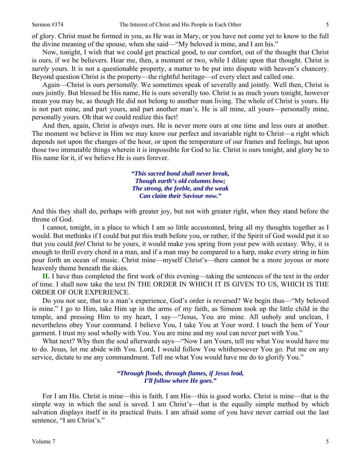of glory. Christ must be formed in you, as He was in Mary, or you have not come yet to know to the full the divine meaning of the spouse, when she said—"My beloved is mine, and I am his."

Now, tonight, I wish that we could get practical good, to our comfort, out of the thought that Christ is ours, if we be believers. Hear me, then, a moment or two, while I dilate upon that thought. Christ is *surely* yours. It is not a questionable property, a matter to be put into dispute with heaven's chancery. Beyond question Christ is the property—the rightful heritage—of every elect and called one.

Again—Christ is ours *personally*. We sometimes speak of severally and jointly. Well then, Christ is ours jointly. But blessed be His name, He is ours severally too. Christ is as much yours tonight, however mean you may be, as though He did not belong to another man living. The whole of Christ is yours. He is not part mine, and part yours, and part another man's. He is all mine, all yours—personally mine, personally yours. Oh that we could realize this fact!

And then, again, Christ is *always* ours. He is never more ours at one time and less ours at another. The moment we believe in Him we may know our perfect and invariable right to Christ—a right which depends not upon the changes of the hour, or upon the temperature of our frames and feelings, but upon those two immutable things wherein it is impossible for God to lie. Christ is ours tonight, and glory be to His name for it, if we believe He is ours forever.

> *"This sacred bond shall never break, Though earth's old columns bow; The strong, the feeble, and the weak Can claim their Saviour now."*

And this they shall do, perhaps with greater joy, but not with greater right, when they stand before the throne of God.

I cannot, tonight, in a place to which I am so little accustomed, bring all my thoughts together as I would. But methinks if I could but put this truth before you, or rather, if the Spirit of God would put it so that you could *feel* Christ to be yours, it would make you spring from your pew with ecstasy. Why, it is enough to thrill every chord in a man, and if a man may be compared to a harp, make every string in him pour forth an ocean of music. Christ mine—myself Christ's—there cannot be a more joyous or more heavenly theme beneath the skies.

**II.** I have thus completed the first work of this evening—taking the sentences of the text in the order of time. I shall now take the text IN THE ORDER IN WHICH IT IS GIVEN TO US, WHICH IS THE ORDER OF OUR EXPERIENCE.

Do you not see, that to a man's experience, God's order is reversed? We begin thus—"My beloved is mine." I go to Him, take Him up in the arms of my faith, as Simeon took up the little child in the temple, and pressing Him to my heart, I say—"Jesus, You are mine. All unholy and unclean, I nevertheless obey Your command. I believe You, I take You at Your word. I touch the hem of Your garment. I trust my soul wholly with You. You are mine and my soul can never part with You."

What next? Why then the soul afterwards says—"Now I am Yours, tell me what You would have me to do. Jesus, let me abide with You. Lord, I would follow You whithersoever You go. Put me on any service, dictate to me any commandment. Tell me what You would have me do to glorify You."

> *"Through floods, through flames, if Jesus lead, I'll follow where He goes."*

For I am His. Christ is mine—this is faith. I am His—this is good works. Christ is mine—that is the simple way in which the soul is saved. I am Christ's—that is the equally simple method by which salvation displays itself in its practical fruits. I am afraid some of you have never carried out the last sentence, "I am Christ's."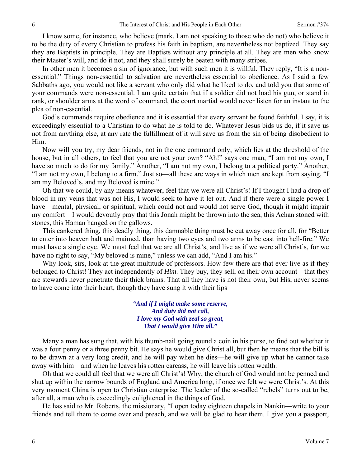I know some, for instance, who believe (mark, I am not speaking to those who do not) who believe it to be the duty of every Christian to profess his faith in baptism, are nevertheless not baptized. They say they are Baptists in principle. They are Baptists without any principle at all. They are men who know their Master's will, and do it not, and they shall surely be beaten with many stripes.

In other men it becomes a sin of ignorance, but with such men it is willful. They reply, "It is a nonessential." Things non-essential to salvation are nevertheless essential to obedience. As I said a few Sabbaths ago, you would not like a servant who only did what he liked to do, and told you that some of your commands were non-essential. I am quite certain that if a soldier did not load his gun, or stand in rank, or shoulder arms at the word of command, the court martial would never listen for an instant to the plea of non-essential.

God's commands require obedience and it is essential that every servant be found faithful. I say, it is exceedingly essential to a Christian to do what he is told to do. Whatever Jesus bids us do, if it save us not from anything else, at any rate the fulfillment of it will save us from the sin of being disobedient to Him.

Now will you try, my dear friends, not in the one command only, which lies at the threshold of the house, but in all others, to feel that you are not your own? "Ah!" says one man, "I am not my own, I have so much to do for my family." Another, "I am not my own, I belong to a political party." Another, "I am not my own, I belong to a firm." Just so—all these are ways in which men are kept from saying, "I am my Beloved's, and my Beloved is mine."

Oh that we could, by any means whatever, feel that we were all Christ's! If I thought I had a drop of blood in my veins that was not His, I would seek to have it let out. And if there were a single power I have—mental, physical, or spiritual, which could not and would not serve God, though it might impair my comfort—I would devoutly pray that this Jonah might be thrown into the sea, this Achan stoned with stones, this Haman hanged on the gallows.

This cankered thing, this deadly thing, this damnable thing must be cut away once for all, for "Better to enter into heaven halt and maimed, than having two eyes and two arms to be cast into hell-fire." We must have a single eye. We must feel that we are all Christ's, and live as if we were all Christ's, for we have no right to say, "My beloved is mine," unless we can add, "And I am his."

Why look, sirs, look at the great multitude of professors. How few there are that ever live as if they belonged to Christ! They act independently of *Him*. They buy, they sell, on their own account—that they are stewards never penetrate their thick brains. That all they have is not their own, but His, never seems to have come into their heart, though they have sung it with their lips—

> *"And if I might make some reserve, And duty did not call, I love my God with zeal so great, That I would give Him all."*

Many a man has sung that, with his thumb-nail going round a coin in his purse, to find out whether it was a four penny or a three penny bit. He says he would give Christ all, but then he means that the bill is to be drawn at a very long credit, and he will pay when he dies—he will give up what he cannot take away with him—and when he leaves his rotten carcass, he will leave his rotten wealth.

Oh that we could all feel that we were all Christ's! Why, the church of God would not be penned and shut up within the narrow bounds of England and America long, if once we felt we were Christ's. At this very moment China is open to Christian enterprise. The leader of the so-called "rebels" turns out to be, after all, a man who is exceedingly enlightened in the things of God.

He has said to Mr. Roberts, the missionary, "I open today eighteen chapels in Nankin—write to your friends and tell them to come over and preach, and we will be glad to hear them. I give you a passport,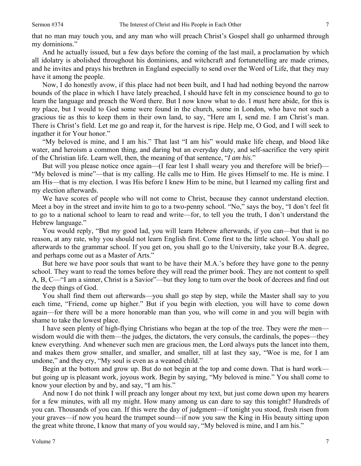7

that no man may touch you, and any man who will preach Christ's Gospel shall go unharmed through my dominions."

And he actually issued, but a few days before the coming of the last mail, a proclamation by which all idolatry is abolished throughout his dominions, and witchcraft and fortunetelling are made crimes, and he invites and prays his brethren in England especially to send over the Word of Life, that they may have it among the people.

Now, I do honestly avow, if this place had not been built, and I had had nothing beyond the narrow bounds of the place in which I have lately preached, I should have felt in my conscience bound to go to learn the language and preach the Word there. But I now know what to do. I *must* here abide, for this is *my* place, but I would to God some were found in the church, some in London, who have not such a gracious tie as this to keep them in their own land, to say, "Here am I, send me. I am Christ's man. There is Christ's field. Let me go and reap it, for the harvest is ripe. Help me, O God, and I will seek to ingather it for Your honor."

"My beloved is mine, and I am his." That last "I am his" would make life cheap, and blood like water, and heroism a common thing, and daring but an everyday duty, and self-sacrifice the very spirit of the Christian life. Learn well, then, the meaning of that sentence, "*I am his*."

But will you please notice once again—(I fear lest I shall weary you and therefore will be brief)— "My beloved is mine"—that is my calling. He calls me to Him. He gives Himself to me. He is mine. I am His—that is my election*.* I was His before I knew Him to be mine, but I learned my calling first and my election afterwards.

We have scores of people who will not come to Christ, because they cannot understand election. Meet a boy in the street and invite him to go to a two-penny school. "No," says the boy, "I don't feel fit to go to a national school to learn to read and write—for, to tell you the truth, I don't understand the Hebrew language."

You would reply, "But my good lad, you will learn Hebrew afterwards, if you can—but that is no reason, at any rate, why you should not learn English first. Come first to the little school. You shall go afterwards to the grammar school. If you get on, you shall go to the University, take your B.A. degree, and perhaps come out as a Master of Arts."

But here we have poor souls that want to be have their M.A.'s before they have gone to the penny school. They want to read the tomes before they will read the primer book. They are not content to spell A, B, C—"I am a sinner, Christ is a Savior"—but they long to turn over the book of decrees and find out the deep things of God.

You shall find them out afterwards—you shall go step by step, while the Master shall say to you each time, "Friend, come up higher." But if you begin with election, you will have to come down again—for there will be a more honorable man than you, who will come in and you will begin with shame to take the lowest place.

I have seen plenty of high-flying Christians who began at the top of the tree. They were *the* men wisdom would die with them—the judges, the dictators, the very consuls, the cardinals, the popes—they knew everything. And whenever such men are gracious men, the Lord always puts the lancet into them, and makes them grow smaller, and smaller, and smaller, till at last they say, "Woe is me, for I am undone," and they cry, "My soul is even as a weaned child."

Begin at the bottom and grow up. But do not begin at the top and come down. That is hard work but going up is pleasant work, joyous work. Begin by saying, "My beloved is mine." You shall come to know your election by and by, and say, "I am his."

And now I do not think I will preach any longer about my text, but just come down upon my hearers for a few minutes, with all my might. How many among us can dare to say this tonight? Hundreds of you can. Thousands of you can. If this were the day of judgment—if tonight you stood, fresh risen from your graves—if now you heard the trumpet sound—if now you saw the King in His beauty sitting upon the great white throne, I know that many of you would say, "My beloved is mine, and I am his."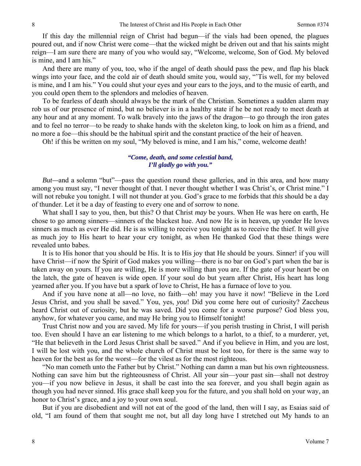If this day the millennial reign of Christ had begun—if the vials had been opened, the plagues poured out, and if now Christ were come—that the wicked might be driven out and that his saints might reign—I am sure there are many of you who would say, "Welcome, welcome, Son of God. My beloved is mine, and I am his."

And there are many of you, too, who if the angel of death should pass the pew, and flap his black wings into your face, and the cold air of death should smite you, would say, "'Tis well, for my beloved is mine, and I am his." You could shut your eyes and your ears to the joys, and to the music of earth, and you could open them to the splendors and melodies of heaven.

To be fearless of death should always be the mark of the Christian. Sometimes a sudden alarm may rob us of our presence of mind, but no believer is in a healthy state if he be not ready to meet death at any hour and at any moment. To walk bravely into the jaws of the dragon—to go through the iron gates and to feel no terror—to be ready to shake hands with the skeleton king, to look on him as a friend, and no more a foe—this should be the habitual spirit and the constant practice of the heir of heaven.

Oh! if this be written on my soul, "My beloved is mine, and I am his," come, welcome death!

## *"Come, death, and some celestial band, I'll gladly go with you."*

*But—*and a solemn "but"—pass the question round these galleries, and in this area, and how many among you must say, "I never thought of that. I never thought whether I was Christ's, or Christ mine." I will not rebuke you tonight. I will not thunder at you. God's grace to me forbids that *this* should be a day of thunder. Let it be a day of feasting to every one and of sorrow to none.

What shall I say to you, then, but this? O that Christ *may* be yours. When He was here on earth, He chose to go among sinners—sinners of the blackest hue. And now He is in heaven, up yonder He loves sinners as much as ever He did. He is as willing to receive you tonight as to receive the thief. It will give as much joy to His heart to hear your cry tonight, as when He thanked God that these things were revealed unto babes.

It is to His honor that you should be His. It is to His joy that He should be yours. Sinner! if you will have Christ—if now the Spirit of God makes you willing—there is no bar on God's part when the bar is taken away on yours. If you are willing, He is more willing than you are. If the gate of your heart be on the latch, the gate of heaven is wide open. If your soul do but yearn after Christ, His heart has long yearned after you. If you have but a spark of love to Christ, He has a furnace of love to you.

And if you have none at all—no love, no faith—oh! may you have it now! "Believe in the Lord Jesus Christ, and you shall be saved." You, yes, *you*! Did you come here out of curiosity? Zaccheus heard Christ out of curiosity, but he was saved. Did you come for a worse purpose? God bless you, anyhow, for whatever you came, and may He bring you to Himself tonight!

Trust Christ now and you are saved. My life for yours—if you perish trusting in Christ, I will perish too. Even should I have an ear listening to me which belongs to a harlot, to a thief, to a murderer, yet, "He that believeth in the Lord Jesus Christ shall be saved." And if you believe in Him, and you are lost, I will be lost with you, and the whole church of Christ must be lost too, for there is the same way to heaven for the best as for the worst—for the vilest as for the most righteous.

"No man cometh unto the Father but by Christ." Nothing can damn a man but his own righteousness. Nothing can save him but the righteousness of Christ. All your sin—your past sin—shall not destroy you—if you now believe in Jesus, it shall be cast into the sea forever, and you shall begin again as though you had never sinned. His grace shall keep you for the future, and you shall hold on your way, an honor to Christ's grace, and a joy to your own soul.

But if you are disobedient and will not eat of the good of the land, then will I say, as Esaias said of old, "I am found of them that sought me not, but all day long have I stretched out My hands to an